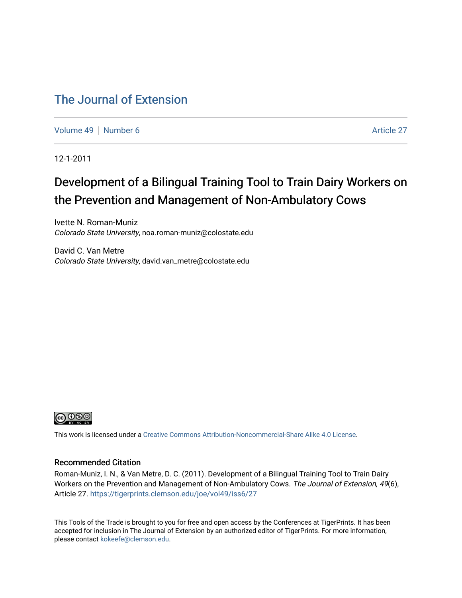### [The Journal of Extension](https://tigerprints.clemson.edu/joe)

[Volume 49](https://tigerprints.clemson.edu/joe/vol49) [Number 6](https://tigerprints.clemson.edu/joe/vol49/iss6) Article 27

12-1-2011

## Development of a Bilingual Training Tool to Train Dairy Workers on the Prevention and Management of Non-Ambulatory Cows

Ivette N. Roman-Muniz Colorado State University, noa.roman-muniz@colostate.edu

David C. Van Metre Colorado State University, david.van\_metre@colostate.edu



This work is licensed under a [Creative Commons Attribution-Noncommercial-Share Alike 4.0 License.](https://creativecommons.org/licenses/by-nc-sa/4.0/)

#### Recommended Citation

Roman-Muniz, I. N., & Van Metre, D. C. (2011). Development of a Bilingual Training Tool to Train Dairy Workers on the Prevention and Management of Non-Ambulatory Cows. The Journal of Extension, 49(6), Article 27. <https://tigerprints.clemson.edu/joe/vol49/iss6/27>

This Tools of the Trade is brought to you for free and open access by the Conferences at TigerPrints. It has been accepted for inclusion in The Journal of Extension by an authorized editor of TigerPrints. For more information, please contact [kokeefe@clemson.edu](mailto:kokeefe@clemson.edu).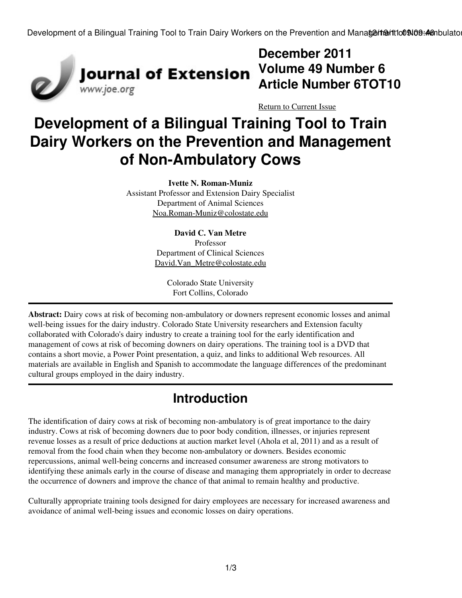Development of a Bilingual Training Tool to Train Dairy Workers on the Prevention and Manate the Htto 09:09:46 mbulato



## **December 2011 Volume 49 Number 6 Article Number 6TOT10**

[Return to Current Issue](http://www.joe.org:80/joe/2011december/)

# **Development of a Bilingual Training Tool to Train Dairy Workers on the Prevention and Management of Non-Ambulatory Cows**

**Ivette N. Roman-Muniz** Assistant Professor and Extension Dairy Specialist Department of Animal Sciences [Noa.Roman-Muniz@colostate.edu](mailto:Noa.Roman-Muniz@colostate.edu)

> **David C. Van Metre** Professor Department of Clinical Sciences [David.Van\\_Metre@colostate.edu](mailto:David.Van_Metre@colostate.edu)

> > Colorado State University Fort Collins, Colorado

**Abstract:** Dairy cows at risk of becoming non-ambulatory or downers represent economic losses and animal well-being issues for the dairy industry. Colorado State University researchers and Extension faculty collaborated with Colorado's dairy industry to create a training tool for the early identification and management of cows at risk of becoming downers on dairy operations. The training tool is a DVD that contains a short movie, a Power Point presentation, a quiz, and links to additional Web resources. All materials are available in English and Spanish to accommodate the language differences of the predominant cultural groups employed in the dairy industry.

## **Introduction**

The identification of dairy cows at risk of becoming non-ambulatory is of great importance to the dairy industry. Cows at risk of becoming downers due to poor body condition, illnesses, or injuries represent revenue losses as a result of price deductions at auction market level (Ahola et al, 2011) and as a result of removal from the food chain when they become non-ambulatory or downers. Besides economic repercussions, animal well-being concerns and increased consumer awareness are strong motivators to identifying these animals early in the course of disease and managing them appropriately in order to decrease the occurrence of downers and improve the chance of that animal to remain healthy and productive.

Culturally appropriate training tools designed for dairy employees are necessary for increased awareness and avoidance of animal well-being issues and economic losses on dairy operations.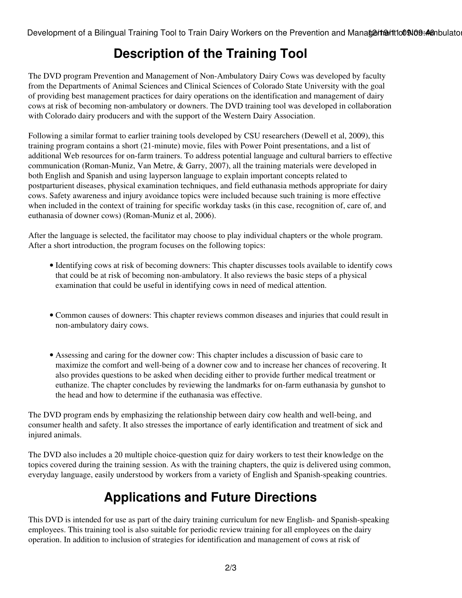Development of a Bilingual Training Tool to Train Dairy Workers on the Prevention and Manatent antito 09:46 mbulato

## **Description of the Training Tool**

The DVD program Prevention and Management of Non-Ambulatory Dairy Cows was developed by faculty from the Departments of Animal Sciences and Clinical Sciences of Colorado State University with the goal of providing best management practices for dairy operations on the identification and management of dairy cows at risk of becoming non-ambulatory or downers. The DVD training tool was developed in collaboration with Colorado dairy producers and with the support of the Western Dairy Association.

Following a similar format to earlier training tools developed by CSU researchers (Dewell et al, 2009), this training program contains a short (21-minute) movie, files with Power Point presentations, and a list of additional Web resources for on-farm trainers. To address potential language and cultural barriers to effective communication (Roman-Muniz, Van Metre, & Garry, 2007), all the training materials were developed in both English and Spanish and using layperson language to explain important concepts related to postparturient diseases, physical examination techniques, and field euthanasia methods appropriate for dairy cows. Safety awareness and injury avoidance topics were included because such training is more effective when included in the context of training for specific workday tasks (in this case, recognition of, care of, and euthanasia of downer cows) (Roman-Muniz et al, 2006).

After the language is selected, the facilitator may choose to play individual chapters or the whole program. After a short introduction, the program focuses on the following topics:

- Identifying cows at risk of becoming downers: This chapter discusses tools available to identify cows that could be at risk of becoming non-ambulatory. It also reviews the basic steps of a physical examination that could be useful in identifying cows in need of medical attention.
- Common causes of downers: This chapter reviews common diseases and injuries that could result in non-ambulatory dairy cows.
- Assessing and caring for the downer cow: This chapter includes a discussion of basic care to maximize the comfort and well-being of a downer cow and to increase her chances of recovering. It also provides questions to be asked when deciding either to provide further medical treatment or euthanize. The chapter concludes by reviewing the landmarks for on-farm euthanasia by gunshot to the head and how to determine if the euthanasia was effective.

The DVD program ends by emphasizing the relationship between dairy cow health and well-being, and consumer health and safety. It also stresses the importance of early identification and treatment of sick and injured animals.

The DVD also includes a 20 multiple choice-question quiz for dairy workers to test their knowledge on the topics covered during the training session. As with the training chapters, the quiz is delivered using common, everyday language, easily understood by workers from a variety of English and Spanish-speaking countries.

# **Applications and Future Directions**

This DVD is intended for use as part of the dairy training curriculum for new English- and Spanish-speaking employees. This training tool is also suitable for periodic review training for all employees on the dairy operation. In addition to inclusion of strategies for identification and management of cows at risk of